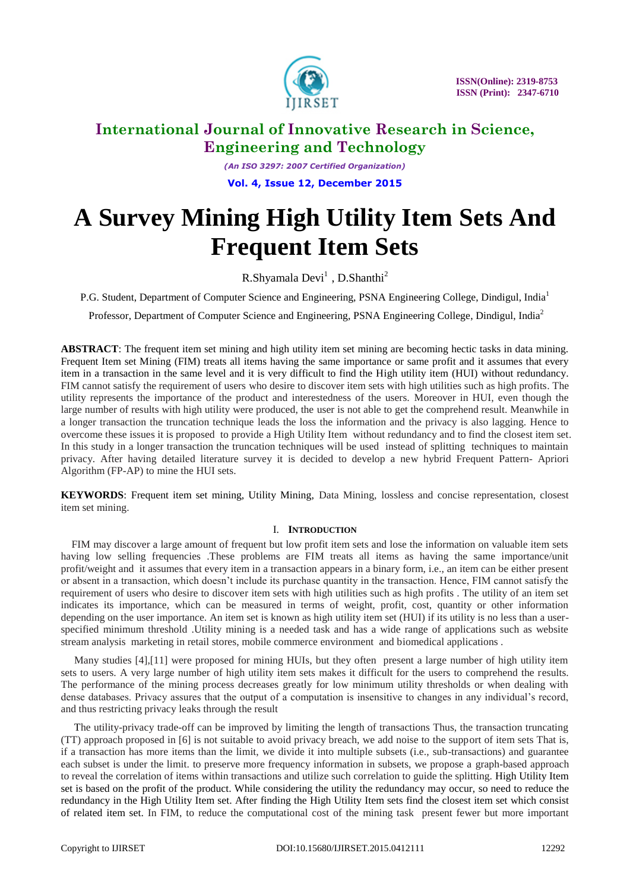

*(An ISO 3297: 2007 Certified Organization)* **Vol. 4, Issue 12, December 2015**

# **A Survey Mining High Utility Item Sets And Frequent Item Sets**

R.Shyamala Devi<sup>1</sup>, D.Shanthi<sup>2</sup>

P.G. Student, Department of Computer Science and Engineering, PSNA Engineering College, Dindigul, India<sup>1</sup>

Professor, Department of Computer Science and Engineering, PSNA Engineering College, Dindigul, India<sup>2</sup>

**ABSTRACT**: The frequent item set mining and high utility item set mining are becoming hectic tasks in data mining. Frequent Item set Mining (FIM) treats all items having the same importance or same profit and it assumes that every item in a transaction in the same level and it is very difficult to find the High utility item (HUI) without redundancy. FIM cannot satisfy the requirement of users who desire to discover item sets with high utilities such as high profits. The utility represents the importance of the product and interestedness of the users. Moreover in HUI, even though the large number of results with high utility were produced, the user is not able to get the comprehend result. Meanwhile in a longer transaction the truncation technique leads the loss the information and the privacy is also lagging. Hence to overcome these issues it is proposed to provide a High Utility Item without redundancy and to find the closest item set. In this study in a longer transaction the truncation techniques will be used instead of splitting techniques to maintain privacy. After having detailed literature survey it is decided to develop a new hybrid Frequent Pattern- Apriori Algorithm (FP-AP) to mine the HUI sets.

**KEYWORDS**: Frequent item set mining, Utility Mining, Data Mining, lossless and concise representation, closest item set mining.

#### I. **INTRODUCTION**

 FIM may discover a large amount of frequent but low profit item sets and lose the information on valuable item sets having low selling frequencies .These problems are FIM treats all items as having the same importance/unit profit/weight and it assumes that every item in a transaction appears in a binary form, i.e., an item can be either present or absent in a transaction, which doesn't include its purchase quantity in the transaction. Hence, FIM cannot satisfy the requirement of users who desire to discover item sets with high utilities such as high profits . The utility of an item set indicates its importance, which can be measured in terms of weight, profit, cost, quantity or other information depending on the user importance. An item set is known as high utility item set (HUI) if its utility is no less than a userspecified minimum threshold .Utility mining is a needed task and has a wide range of applications such as website stream analysis marketing in retail stores, mobile commerce environment and biomedical applications .

 Many studies [4],[11] were proposed for mining HUIs, but they often present a large number of high utility item sets to users. A very large number of high utility item sets makes it difficult for the users to comprehend the results. The performance of the mining process decreases greatly for low minimum utility thresholds or when dealing with dense databases. Privacy assures that the output of a computation is insensitive to changes in any individual's record, and thus restricting privacy leaks through the result

 The utility-privacy trade-off can be improved by limiting the length of transactions Thus, the transaction truncating (TT) approach proposed in [6] is not suitable to avoid privacy breach, we add noise to the support of item sets That is, if a transaction has more items than the limit, we divide it into multiple subsets (i.e., sub-transactions) and guarantee each subset is under the limit. to preserve more frequency information in subsets, we propose a graph-based approach to reveal the correlation of items within transactions and utilize such correlation to guide the splitting. High Utility Item set is based on the profit of the product. While considering the utility the redundancy may occur, so need to reduce the redundancy in the High Utility Item set. After finding the High Utility Item sets find the closest item set which consist of related item set. In FIM, to reduce the computational cost of the mining task present fewer but more important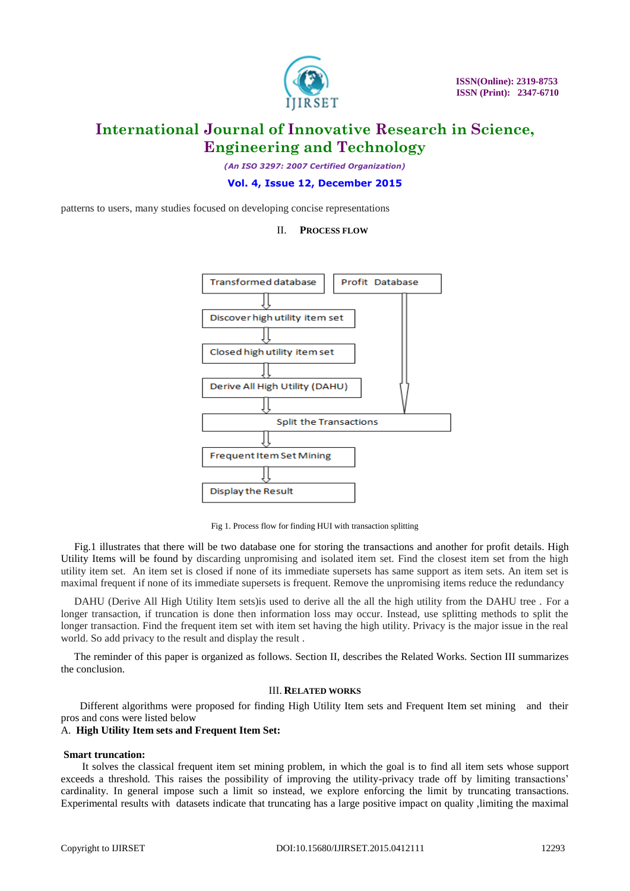

*(An ISO 3297: 2007 Certified Organization)*

#### **Vol. 4, Issue 12, December 2015**

II. **PROCESS FLOW**

patterns to users, many studies focused on developing concise representations

# Profit Database Transformed database Discover high utility item set Closed high utility item set Derive All High Utility (DAHU) **Split the Transactions Frequent Item Set Mining Display the Result**

Fig 1. Process flow for finding HUI with transaction splitting

 Fig.1 illustrates that there will be two database one for storing the transactions and another for profit details. High Utility Items will be found by discarding unpromising and isolated item set. Find the closest item set from the high utility item set. An item set is closed if none of its immediate supersets has same support as item sets. An item set is maximal frequent if none of its immediate supersets is frequent. Remove the unpromising items reduce the redundancy

 DAHU (Derive All High Utility Item sets)is used to derive all the all the high utility from the DAHU tree . For a longer transaction, if truncation is done then information loss may occur. Instead, use splitting methods to split the longer transaction. Find the frequent item set with item set having the high utility. Privacy is the major issue in the real world. So add privacy to the result and display the result .

 The reminder of this paper is organized as follows. Section II, describes the Related Works. Section III summarizes the conclusion.

#### III. **RELATED WORKS**

 Different algorithms were proposed for finding High Utility Item sets and Frequent Item set mining and their pros and cons were listed below

#### A. **High Utility Item sets and Frequent Item Set:**

#### **Smart truncation:**

 It solves the classical frequent item set mining problem, in which the goal is to find all item sets whose support exceeds a threshold. This raises the possibility of improving the utility-privacy trade off by limiting transactions' cardinality. In general impose such a limit so instead, we explore enforcing the limit by truncating transactions. Experimental results with datasets indicate that truncating has a large positive impact on quality ,limiting the maximal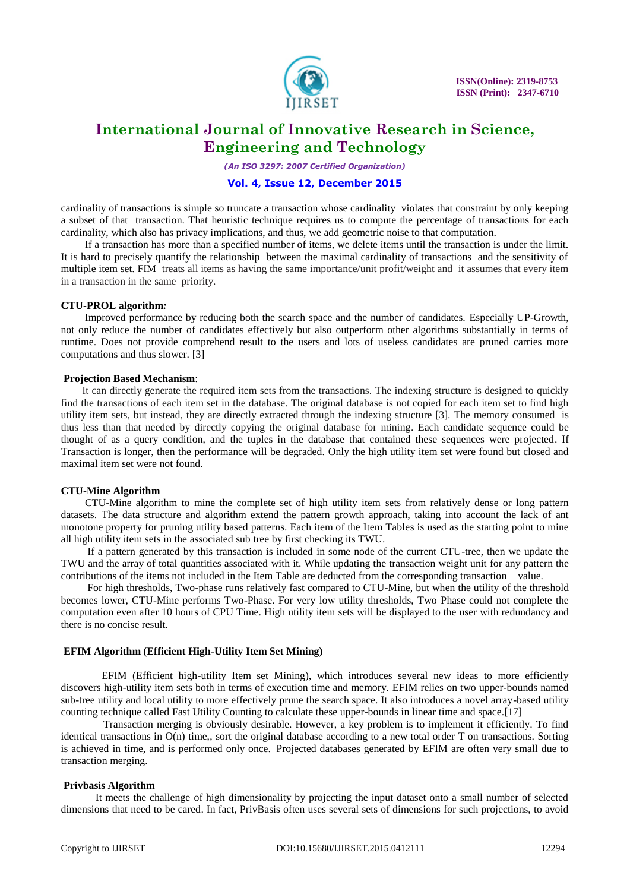

*(An ISO 3297: 2007 Certified Organization)*

#### **Vol. 4, Issue 12, December 2015**

cardinality of transactions is simple so truncate a transaction whose cardinality violates that constraint by only keeping a subset of that transaction. That heuristic technique requires us to compute the percentage of transactions for each cardinality, which also has privacy implications, and thus, we add geometric noise to that computation.

 If a transaction has more than a specified number of items, we delete items until the transaction is under the limit. It is hard to precisely quantify the relationship between the maximal cardinality of transactions and the sensitivity of multiple item set. FIM treats all items as having the same importance/unit profit/weight and it assumes that every item in a transaction in the same priority.

#### **CTU-PROL algorithm***:*

 Improved performance by reducing both the search space and the number of candidates. Especially UP-Growth, not only reduce the number of candidates effectively but also outperform other algorithms substantially in terms of runtime. Does not provide comprehend result to the users and lots of useless candidates are pruned carries more computations and thus slower. [3]

#### **Projection Based Mechanism**:

 It can directly generate the required item sets from the transactions. The indexing structure is designed to quickly find the transactions of each item set in the database. The original database is not copied for each item set to find high utility item sets, but instead, they are directly extracted through the indexing structure [3]. The memory consumed is thus less than that needed by directly copying the original database for mining. Each candidate sequence could be thought of as a query condition, and the tuples in the database that contained these sequences were projected. If Transaction is longer, then the performance will be degraded. Only the high utility item set were found but closed and maximal item set were not found.

#### **CTU-Mine Algorithm**

 CTU-Mine algorithm to mine the complete set of high utility item sets from relatively dense or long pattern datasets. The data structure and algorithm extend the pattern growth approach, taking into account the lack of ant monotone property for pruning utility based patterns. Each item of the Item Tables is used as the starting point to mine all high utility item sets in the associated sub tree by first checking its TWU.

 If a pattern generated by this transaction is included in some node of the current CTU-tree, then we update the TWU and the array of total quantities associated with it. While updating the transaction weight unit for any pattern the contributions of the items not included in the Item Table are deducted from the corresponding transaction value.

 For high thresholds, Two-phase runs relatively fast compared to CTU-Mine, but when the utility of the threshold becomes lower, CTU-Mine performs Two-Phase. For very low utility thresholds, Two Phase could not complete the computation even after 10 hours of CPU Time. High utility item sets will be displayed to the user with redundancy and there is no concise result.

#### **EFIM Algorithm (Efficient High-Utility Item Set Mining)**

EFIM (Efficient high-utility Item set Mining), which introduces several new ideas to more efficiently discovers high-utility item sets both in terms of execution time and memory. EFIM relies on two upper-bounds named sub-tree utility and local utility to more effectively prune the search space. It also introduces a novel array-based utility counting technique called Fast Utility Counting to calculate these upper-bounds in linear time and space.[17]

 Transaction merging is obviously desirable. However, a key problem is to implement it efficiently. To find identical transactions in O(n) time,, sort the original database according to a new total order T on transactions. Sorting is achieved in time, and is performed only once. Projected databases generated by EFIM are often very small due to transaction merging.

#### **Privbasis Algorithm**

 It meets the challenge of high dimensionality by projecting the input dataset onto a small number of selected dimensions that need to be cared. In fact, PrivBasis often uses several sets of dimensions for such projections, to avoid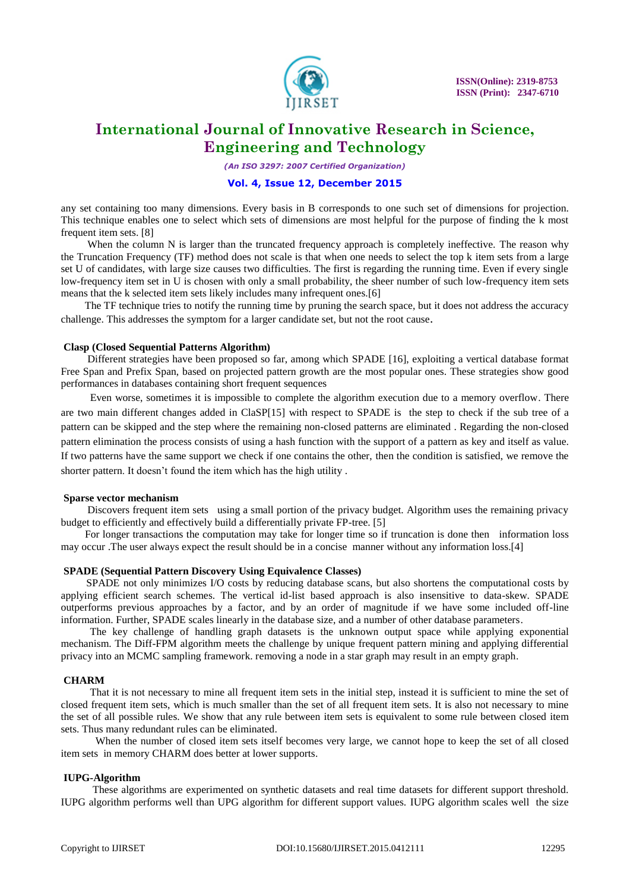

*(An ISO 3297: 2007 Certified Organization)*

#### **Vol. 4, Issue 12, December 2015**

any set containing too many dimensions. Every basis in B corresponds to one such set of dimensions for projection. This technique enables one to select which sets of dimensions are most helpful for the purpose of finding the k most frequent item sets. [8]

When the column N is larger than the truncated frequency approach is completely ineffective. The reason why the Truncation Frequency (TF) method does not scale is that when one needs to select the top k item sets from a large set U of candidates, with large size causes two difficulties. The first is regarding the running time. Even if every single low-frequency item set in U is chosen with only a small probability, the sheer number of such low-frequency item sets means that the k selected item sets likely includes many infrequent ones.[6]

 The TF technique tries to notify the running time by pruning the search space, but it does not address the accuracy challenge. This addresses the symptom for a larger candidate set, but not the root cause.

#### **Clasp (Closed Sequential Patterns Algorithm)**

 Different strategies have been proposed so far, among which SPADE [16], exploiting a vertical database format Free Span and Prefix Span, based on projected pattern growth are the most popular ones. These strategies show good performances in databases containing short frequent sequences

 Even worse, sometimes it is impossible to complete the algorithm execution due to a memory overflow. There are two main different changes added in ClaSP[15] with respect to SPADE is the step to check if the sub tree of a pattern can be skipped and the step where the remaining non-closed patterns are eliminated . Regarding the non-closed pattern elimination the process consists of using a hash function with the support of a pattern as key and itself as value. If two patterns have the same support we check if one contains the other, then the condition is satisfied, we remove the shorter pattern. It doesn't found the item which has the high utility .

#### **Sparse vector mechanism**

Discovers frequent item sets using a small portion of the privacy budget. Algorithm uses the remaining privacy budget to efficiently and effectively build a differentially private FP-tree. [5]

 For longer transactions the computation may take for longer time so if truncation is done then information loss may occur .The user always expect the result should be in a concise manner without any information loss.[4]

#### **SPADE (Sequential Pattern Discovery Using Equivalence Classes)**

 SPADE not only minimizes I/O costs by reducing database scans, but also shortens the computational costs by applying efficient search schemes. The vertical id-list based approach is also insensitive to data-skew. SPADE outperforms previous approaches by a factor, and by an order of magnitude if we have some included off-line information. Further, SPADE scales linearly in the database size, and a number of other database parameters.

 The key challenge of handling graph datasets is the unknown output space while applying exponential mechanism. The Diff-FPM algorithm meets the challenge by unique frequent pattern mining and applying differential privacy into an MCMC sampling framework. removing a node in a star graph may result in an empty graph.

### **CHARM**

 That it is not necessary to mine all frequent item sets in the initial step, instead it is sufficient to mine the set of closed frequent item sets, which is much smaller than the set of all frequent item sets. It is also not necessary to mine the set of all possible rules. We show that any rule between item sets is equivalent to some rule between closed item sets. Thus many redundant rules can be eliminated.

 When the number of closed item sets itself becomes very large, we cannot hope to keep the set of all closed item sets in memory CHARM does better at lower supports.

#### **IUPG-Algorithm**

These algorithms are experimented on synthetic datasets and real time datasets for different support threshold. IUPG algorithm performs well than UPG algorithm for different support values. IUPG algorithm scales well the size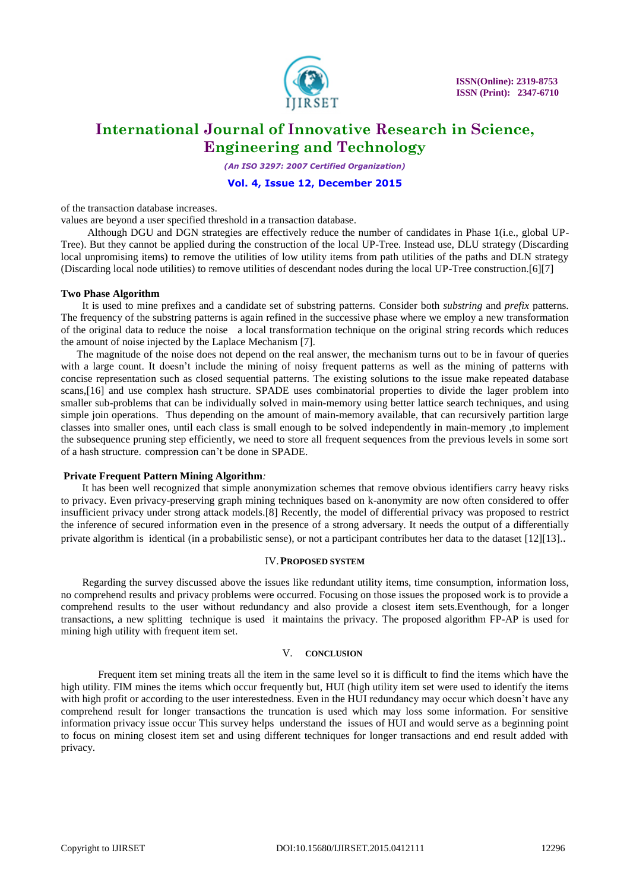

*(An ISO 3297: 2007 Certified Organization)*

#### **Vol. 4, Issue 12, December 2015**

of the transaction database increases.

values are beyond a user specified threshold in a transaction database.

 Although DGU and DGN strategies are effectively reduce the number of candidates in Phase 1(i.e., global UP-Tree). But they cannot be applied during the construction of the local UP-Tree. Instead use, DLU strategy (Discarding local unpromising items) to remove the utilities of low utility items from path utilities of the paths and DLN strategy (Discarding local node utilities) to remove utilities of descendant nodes during the local UP-Tree construction.[6][7]

#### **Two Phase Algorithm**

 It is used to mine prefixes and a candidate set of substring patterns. Consider both *substring* and *prefix* patterns. The frequency of the substring patterns is again refined in the successive phase where we employ a new transformation of the original data to reduce the noise a local transformation technique on the original string records which reduces the amount of noise injected by the Laplace Mechanism [7].

 The magnitude of the noise does not depend on the real answer, the mechanism turns out to be in favour of queries with a large count. It doesn't include the mining of noisy frequent patterns as well as the mining of patterns with concise representation such as closed sequential patterns. The existing solutions to the issue make repeated database scans,[16] and use complex hash structure. SPADE uses combinatorial properties to divide the lager problem into smaller sub-problems that can be individually solved in main-memory using better lattice search techniques, and using simple join operations. Thus depending on the amount of main-memory available, that can recursively partition large classes into smaller ones, until each class is small enough to be solved independently in main-memory ,to implement the subsequence pruning step efficiently, we need to store all frequent sequences from the previous levels in some sort of a hash structure. compression can't be done in SPADE.

#### **Private Frequent Pattern Mining Algorithm***:*

 It has been well recognized that simple anonymization schemes that remove obvious identifiers carry heavy risks to privacy. Even privacy-preserving graph mining techniques based on k-anonymity are now often considered to offer insufficient privacy under strong attack models.[8] Recently, the model of differential privacy was proposed to restrict the inference of secured information even in the presence of a strong adversary. It needs the output of a differentially private algorithm is identical (in a probabilistic sense), or not a participant contributes her data to the dataset [12][13]..

#### IV.**PROPOSED SYSTEM**

 Regarding the survey discussed above the issues like redundant utility items, time consumption, information loss, no comprehend results and privacy problems were occurred. Focusing on those issues the proposed work is to provide a comprehend results to the user without redundancy and also provide a closest item sets.Eventhough, for a longer transactions, a new splitting technique is used it maintains the privacy. The proposed algorithm FP-AP is used for mining high utility with frequent item set.

#### V. **CONCLUSION**

 Frequent item set mining treats all the item in the same level so it is difficult to find the items which have the high utility. FIM mines the items which occur frequently but, HUI (high utility item set were used to identify the items with high profit or according to the user interestedness. Even in the HUI redundancy may occur which doesn't have any comprehend result for longer transactions the truncation is used which may loss some information. For sensitive information privacy issue occur This survey helps understand the issues of HUI and would serve as a beginning point to focus on mining closest item set and using different techniques for longer transactions and end result added with privacy.